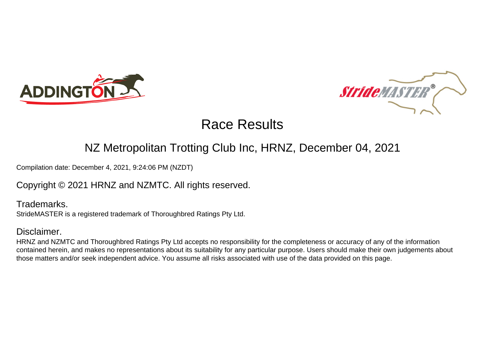



### NZ Metropolitan Trotting Club Inc, HRNZ, December 04, 2021

Compilation date: December 4, 2021, 9:24:06 PM (NZDT)

Copyright © 2021 HRNZ and NZMTC. All rights reserved.

Trademarks. StrideMASTER is a registered trademark of Thoroughbred Ratings Pty Ltd.

### Disclaimer.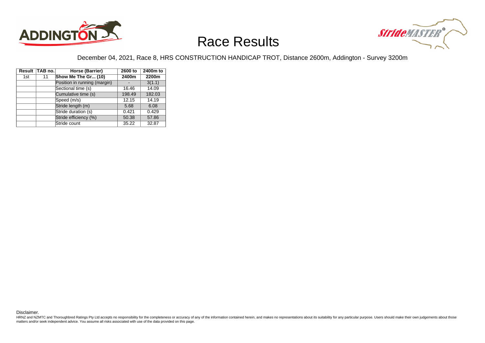



### December 04, 2021, Race 8, HRS CONSTRUCTION HANDICAP TROT, Distance 2600m, Addington - Survey 3200m

|     | Result TAB no. | Horse (Barrier)              | 2600 to | 2400m to |
|-----|----------------|------------------------------|---------|----------|
| 1st | 11             | Show Me The Gr (10)          | 2400m   | 2200m    |
|     |                | Position in running (margin) |         | 3(1.1)   |
|     |                | Sectional time (s)           | 16.46   | 14.09    |
|     |                | Cumulative time (s)          | 198.49  | 182.03   |
|     |                | Speed (m/s)                  | 12.15   | 14.19    |
|     |                | Stride length (m)            | 5.68    | 6.08     |
|     |                | Stride duration (s)          | 0.421   | 0.429    |
|     |                | Stride efficiency (%)        | 50.38   | 57.86    |
|     |                | Stride count                 | 35.22   | 32.87    |

Disclaimer.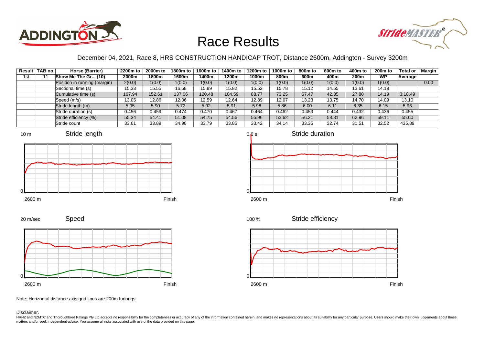



### December 04, 2021, Race 8, HRS CONSTRUCTION HANDICAP TROT, Distance 2600m, Addington - Survey 3200m

|     | Result TAB no. | Horse (Barrier)              | 2200m to | 2000m to | 1800m to | 1600m to | 1400m to | 1200m to | 1000m to | 800m to | 600m to | 400m to          | <b>200m to</b> | Total or | <b>Margin</b> |
|-----|----------------|------------------------------|----------|----------|----------|----------|----------|----------|----------|---------|---------|------------------|----------------|----------|---------------|
| 1st |                | Show Me The Gr (10)          | 2000m    | 1800m    | 1600m    | 1400m    | 1200m    | 1000m    | 800m     | 600m    | 400m    | 200 <sub>m</sub> | <b>WP</b>      | Average  |               |
|     |                | Position in running (margin) | 2(0.0)   | 1(0.0)   | 1(0.0)   | 1(0.0)   | 1(0.0)   | 1(0.0)   | 1(0.0)   | 1(0.0)  | 1(0.0)  | 1(0.0)           | 1(0.0)         |          | 0.00          |
|     |                | Sectional time (s)           | 15.33    | 15.55    | 16.58    | 15.89    | 15.82    | 15.52    | 15.78    | 15.12   | 14.55   | 13.61            | 14.19          |          |               |
|     |                | Cumulative time (s)          | 167.94   | 152.61   | 137.06   | 120.48   | 104.59   | 88.77    | 73.25    | 57.47   | 42.35   | 27.80            | 14.19          | 3:18.49  |               |
|     |                | Speed (m/s)                  | 13.05    | 12.86    | 12.06    | 12.59    | 12.64    | 12.89    | 12.67    | 13.23   | 13.75   | 14.70            | 14.09          | 13.10    |               |
|     |                | Stride length (m)            | 5.95     | 5.90     | 5.72     | 5.92     | 5.91     | 5.98     | 5.86     | 6.00    | 6.11    | 6.35             | 6.15           | 5.96     |               |
|     |                | Stride duration (s)          | 0.456    | 0.459    | 0.474    | 0.470    | 0.467    | 0.464    | 0.462    | 0.453   | 0.444   | 0.432            | 0.436          | 0.455    |               |
|     |                | Stride efficiency (%)        | 55.34    | 54.41    | 51.08    | 54.75    | 54.56    | 55.96    | 53.62    | 56.21   | 58.31   | 62.96            | 59.11          | 55.60    |               |
|     |                | Stride count                 | 33.61    | 33.89    | 34.98    | 33.79    | 33.85    | 33.42    | 34.14    | 33.35   | 32.74   | 31.51            | 32.52          | 435.89   |               |









Speed







Note: Horizontal distance axis grid lines are 200m furlongs.

#### Disclaimer.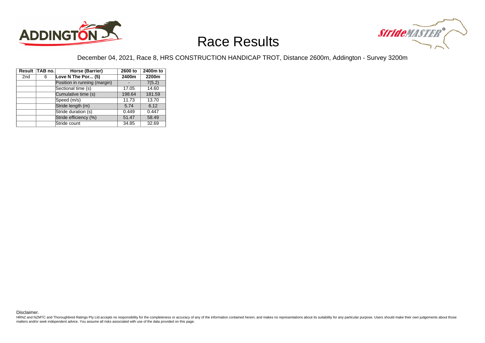



### December 04, 2021, Race 8, HRS CONSTRUCTION HANDICAP TROT, Distance 2600m, Addington - Survey 3200m

|                 | Result TAB no. | Horse (Barrier)              | 2600 to | 2400m to |
|-----------------|----------------|------------------------------|---------|----------|
| 2 <sub>nd</sub> | 6              | Love N The Por (5)           | 2400m   | 2200m    |
|                 |                | Position in running (margin) |         | 7(5.2)   |
|                 |                | Sectional time (s)           | 17.05   | 14.60    |
|                 |                | Cumulative time (s)          | 198.64  | 181.59   |
|                 |                | Speed (m/s)                  | 11.73   | 13.70    |
|                 |                | Stride length (m)            | 5.74    | 6.12     |
|                 |                | Stride duration (s)          | 0.449   | 0.447    |
|                 |                | Stride efficiency (%)        | 51.47   | 58.49    |
|                 |                | Stride count                 | 34.85   | 32.69    |

Disclaimer.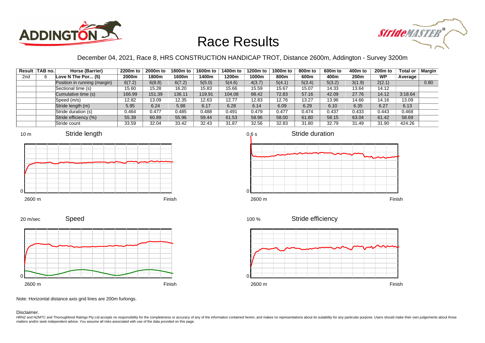



### December 04, 2021, Race 8, HRS CONSTRUCTION HANDICAP TROT, Distance 2600m, Addington - Survey 3200m

|                 | Result TAB no. | Horse (Barrier)              | 2200m to | 2000m to | 1800m to | 1600m to | 1400m to | 1200m to | 1000m to | 800m to | 600m to | 400m to | 200 <sub>m</sub> to | Total or | Margin |
|-----------------|----------------|------------------------------|----------|----------|----------|----------|----------|----------|----------|---------|---------|---------|---------------------|----------|--------|
| 2 <sub>nd</sub> |                | Love N The Por $(5)$         | 2000m    | 1800m    | 1600m    | 400m     | 1200m    | 1000m    | 800m     | 600m    | 400m    | 200m    | <b>WP</b>           | Average  |        |
|                 |                | Position in running (margin) | 6(7.2)   | 6(8.8)   | 6(7.2)   | 5(5.0)   | 5(4.6)   | 4(3.7)   | 5(4.1)   | 5(3.4)  | 5(3.2)  | 3(1.9)  | 2(2.1)              |          | 0.80   |
|                 |                | Sectional time (s)           | 15.60    | 15.28    | 16.20    | 15.83    | 15.66    | 15.59    | 15.67    | 15.07   | 14.33   | 13.64   | 14.12               |          |        |
|                 |                | Cumulative time (s)          | 166.99   | 151.39   | 136.11   | 119.91   | 104.08   | 88.42    | 72.83    | 57.16   | 42.09   | 27.76   | 14.12               | 3:18.64  |        |
|                 |                | Speed (m/s)                  | 12.82    | 13.09    | 12.35    | 12.63    | 12.77    | 12.83    | 12.76    | 13.27   | 13.96   | 14.66   | 14.16               | 13.09    |        |
|                 |                | Stride length (m)            | 5.95     | 6.24     | 5.98     | 6.17     | 6.28     | 6.14     | 6.09     | 6.29    | 6.10    | 6.35    | 6.27                | 6.13     |        |
|                 |                | Stride duration (s)          | 0.464    | 0.477    | 0.485    | 0.488    | 0.491    | 0.479    | 0.477    | 0.474   | 0.437   | 0.433   | 0.443               | 0.468    |        |
|                 |                | Stride efficiency (%)        | 55.39    | 60.89    | 55.96    | 59.44    | 61.53    | 58.96    | 58.00    | 61.80   | 58.15   | 63.04   | 61.42               | 58.69    |        |
|                 |                | Stride count                 | 33.59    | 32.04    | 33.42    | 32.43    | 31.87    | 32.56    | 32.83    | 31.80   | 32.79   | 31.49   | 31.90               | 424.26   |        |







Speed







Note: Horizontal distance axis grid lines are 200m furlongs.

Disclaimer.

20 m/sec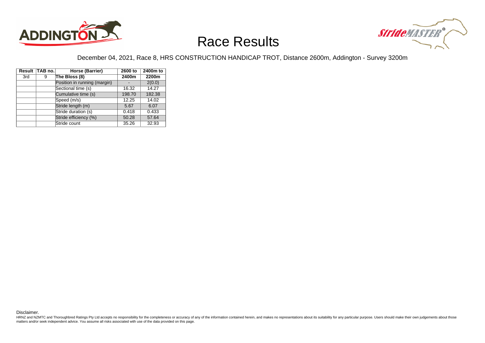



### December 04, 2021, Race 8, HRS CONSTRUCTION HANDICAP TROT, Distance 2600m, Addington - Survey 3200m

|     | Result TAB no. | Horse (Barrier)              | 2600 to | 2400m to |
|-----|----------------|------------------------------|---------|----------|
| 3rd | 9              | The Bloss (8)                | 2400m   | 2200m    |
|     |                | Position in running (margin) |         | 2(0.0)   |
|     |                | Sectional time (s)           | 16.32   | 14.27    |
|     |                | Cumulative time (s)          | 198.70  | 182.38   |
|     |                | Speed (m/s)                  | 12.25   | 14.02    |
|     |                | Stride length (m)            | 5.67    | 6.07     |
|     |                | Stride duration (s)          | 0.418   | 0.433    |
|     |                | Stride efficiency (%)        | 50.28   | 57.64    |
|     |                | Stride count                 | 35.26   | 32.93    |

Disclaimer.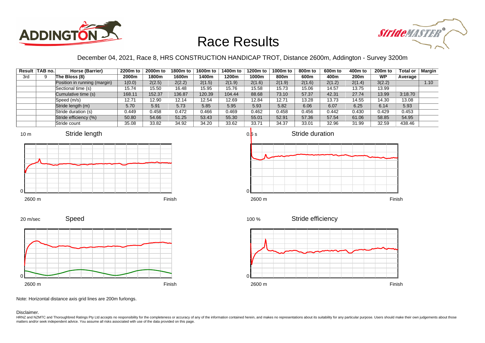



### December 04, 2021, Race 8, HRS CONSTRUCTION HANDICAP TROT, Distance 2600m, Addington - Survey 3200m

|     | Result TAB no. | Horse (Barrier)              | 2200m to | 2000m to | 1800m to | 1600m to | 1400m to | 1200m to | 1000m to | 800m to | 600m to | 400m to          | 200 <sub>m</sub> to | Total or | Margin |
|-----|----------------|------------------------------|----------|----------|----------|----------|----------|----------|----------|---------|---------|------------------|---------------------|----------|--------|
| 3rd |                | The Bloss (8)                | 2000m    | 1800m    | 1600m    | 1400m    | 1200m    | 1000m    | 800m     | 600m    | 400m    | 200 <sub>m</sub> | <b>WP</b>           | Average  |        |
|     |                | Position in running (margin) | 1(0.0)   | 2(2.5)   | 2(2.2)   | 2(1.5)   | 2(1.9)   | 2(1.6)   | 2(1.9)   | 2(1.6)  | 2(1.2)  | 2(1.4)           | 3(2.2)              |          | 1.10   |
|     |                | Sectional time (s)           | 15.74    | 15.50    | 16.48    | 15.95    | 15.76    | 15.58    | 15.73    | 15.06   | 14.57   | 13.75            | 13.99               |          |        |
|     |                | Cumulative time (s)          | 168.11   | 152.37   | 136.87   | 120.39   | 104.44   | 88.68    | 73.10    | 57.37   | 42.31   | 27.74            | 13.99               | 3:18.70  |        |
|     |                | Speed (m/s)                  | 12.71    | 12.90    | 12.14    | 12.54    | 12.69    | 12.84    | 12.71    | 13.28   | 13.73   | 14.55            | 14.30               | 13.08    |        |
|     |                | Stride length (m)            | 5.70     | 5.91     | 5.73     | 5.85     | 5.95     | 5.93     | 5.82     | 6.06    | 6.07    | 6.25             | 6.14                | 5.93     |        |
|     |                | Stride duration (s)          | 0.449    | 0.458    | 0.472    | 0.466    | 0.469    | 0.462    | 0.458    | 0.456   | 0.442   | 0.430            | 0.429               | 0.453    |        |
|     |                | Stride efficiency (%)        | 50.80    | 54.66    | 51.25    | 53.43    | 55.30    | 55.01    | 52.91    | 57.36   | 57.54   | 61.06            | 58.85               | 54.95    |        |
|     |                | Stride count                 | 35.08    | 33.82    | 34.92    | 34.20    | 33.62    | 33.71    | 34.37    | 33.01   | 32.96   | 31.99            | 32.59               | 438.46   |        |









20 m/sec

Speed



Stride efficiency 100 %



Note: Horizontal distance axis grid lines are 200m furlongs.

#### Disclaimer.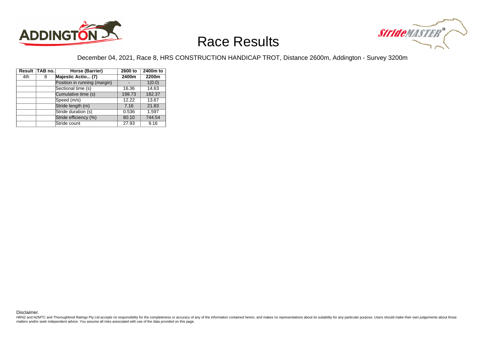



### December 04, 2021, Race 8, HRS CONSTRUCTION HANDICAP TROT, Distance 2600m, Addington - Survey 3200m

|     | Result TAB no. | Horse (Barrier)              | 2600 to | 2400m to |
|-----|----------------|------------------------------|---------|----------|
| 4th | 8              | Majestic Actio (7)           | 2400m   | 2200m    |
|     |                | Position in running (margin) |         | 1(0.0)   |
|     |                | Sectional time (s)           | 16.36   | 14.63    |
|     |                | Cumulative time (s)          | 198.73  | 182.37   |
|     |                | Speed (m/s)                  | 12.22   | 13.67    |
|     |                | Stride length (m)            | 7.16    | 21.83    |
|     |                | Stride duration (s)          | 0.536   | 1.597    |
|     |                | Stride efficiency (%)        | 80.10   | 744.54   |
|     |                | Stride count                 | 27.93   | 9.16     |

Disclaimer.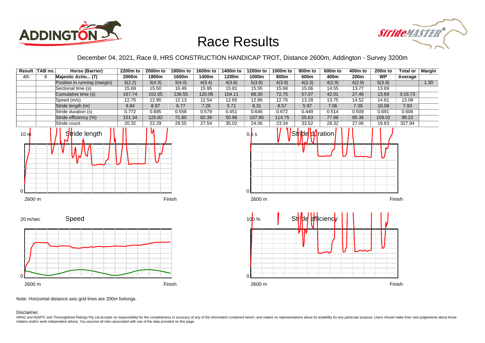



December 04, 2021, Race 8, HRS CONSTRUCTION HANDICAP TROT, Distance 2600m, Addington - Survey 3200m



Note: Horizontal distance axis grid lines are 200m furlongs.

Disclaimer.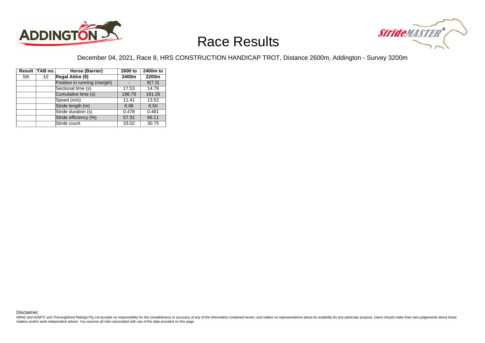



### December 04, 2021, Race 8, HRS CONSTRUCTION HANDICAP TROT, Distance 2600m, Addington - Survey 3200m

|     | Result TAB no. | Horse (Barrier)              | 2600 to | 2400m to |
|-----|----------------|------------------------------|---------|----------|
| 5th | 10             | Regal Attire (9)             | 2400m   | 2200m    |
|     |                | Position in running (margin) |         | 8(7.3)   |
|     |                | Sectional time (s)           | 17.53   | 14.79    |
|     |                | Cumulative time (s)          | 198.79  | 181.26   |
|     |                | Speed (m/s)                  | 11.41   | 13.52    |
|     |                | Stride length (m)            | 6.06    | 6.50     |
|     |                | Stride duration (s)          | 0.478   | 0.481    |
|     |                | Stride efficiency (%)        | 57.31   | 66.11    |
|     |                | Stride count                 | 33.02   | 30.75    |

Disclaimer.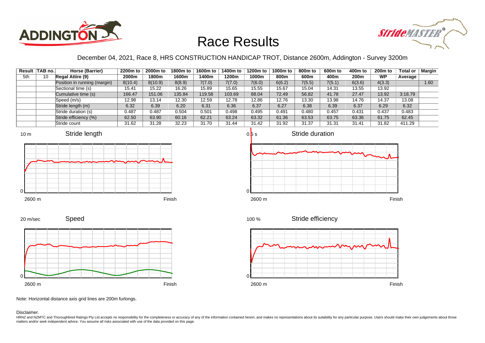



December 04, 2021, Race 8, HRS CONSTRUCTION HANDICAP TROT, Distance 2600m, Addington - Survey 3200m

|     | Result TAB no. | Horse (Barrier)              | 2200m to | 2000m to | 1800m to | 1600m to | 1400m to | 1200m to | 1000m to | 800m to | 600m to | 400m to | <b>200m to</b> | <b>Total or</b> | <b>Margin</b> |
|-----|----------------|------------------------------|----------|----------|----------|----------|----------|----------|----------|---------|---------|---------|----------------|-----------------|---------------|
| 5th | 10             | <b>Regal Attire (9)</b>      | 2000m    | 1800m    | 1600m    | 1400m    | 1200m    | 1000m    | 800m     | 600m    | 400m    | 200m    | <b>WP</b>      | Average         |               |
|     |                | Position in running (margin) | 8(10.4)  | 8(10.9)  | 8(8.9)   | 7(7.0)   | 7(7.0)   | 7(6.0)   | 6(6.2)   | 7(5.5)  | 7(5.1)  | 6(3.6)  | 4(3.3)         |                 | 1.60          |
|     |                | Sectional time (s)           | 15.41    | 15.22    | 16.26    | 15.89    | 15.65    | 15.55    | 15.67    | 15.04   | 14.31   | 13.55   | 13.92          |                 |               |
|     |                | Cumulative time (s)          | 166.47   | 151.06   | 135.84   | 119.58   | 103.69   | 88.04    | 72.49    | 56.82   | 41.78   | 27.47   | 13.92          | 3:18.79         |               |
|     |                | Speed (m/s)                  | 12.98    | 13.14    | 12.30    | 12.59    | 12.78    | 12.86    | 12.76    | 13.30   | 13.98   | 14.76   | 14.37          | 13.08           |               |
|     |                | Stride length (m)            | 6.32     | 6.39     | 6.20     | 6.31     | 6.36     | 6.37     | 6.27     | 6.38    | 6.39    | 6.37    | 6.29           | 6.32            |               |
|     |                | Stride duration (s)          | 0.487    | 0.487    | 0.504    | 0.501    | 0.498    | 0.495    | 0.491    | 0.480   | 0.457   | 0.431   | 0.437          | 0.483           |               |
|     |                | Stride efficiency (%)        | 62.50    | 63.90    | 60.16    | 62.21    | 63.24    | 63.32    | 61.36    | 63.53   | 63.75   | 63.36   | 61.75          | 62.45           |               |
|     |                | Stride count                 | 31.62    | 31.28    | 32.23    | 31.70    | 31.44    | 31.42    | 31.92    | 31.37   | 31.31   | 31.41   | 31.82          | 411.29          |               |











Note: Horizontal distance axis grid lines are 200m furlongs.

#### Disclaimer.

0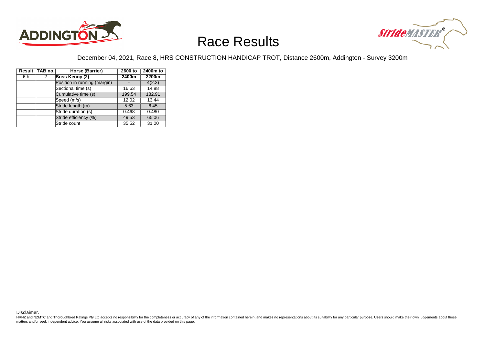



### December 04, 2021, Race 8, HRS CONSTRUCTION HANDICAP TROT, Distance 2600m, Addington - Survey 3200m

|     | Result TAB no. | Horse (Barrier)              | 2600 to | 2400m to |
|-----|----------------|------------------------------|---------|----------|
| 6th | 2              | Boss Kenny (2)               | 2400m   | 2200m    |
|     |                | Position in running (margin) |         | 4(2.3)   |
|     |                | Sectional time (s)           | 16.63   | 14.88    |
|     |                | Cumulative time (s)          | 199.54  | 182.91   |
|     |                | Speed (m/s)                  | 12.02   | 13.44    |
|     |                | Stride length (m)            | 5.63    | 6.45     |
|     |                | Stride duration (s)          | 0.468   | 0.480    |
|     |                | Stride efficiency (%)        | 49.53   | 65.06    |
|     |                | Stride count                 | 35.52   | 31.00    |

Disclaimer.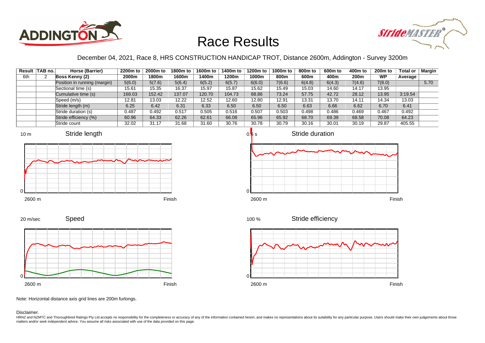



December 04, 2021, Race 8, HRS CONSTRUCTION HANDICAP TROT, Distance 2600m, Addington - Survey 3200m

|     | Result TAB no. | Horse (Barrier)              | 2200m to | 2000m to | 1800m to | 1600m to | 1400m to | 1200m to | 1000m to | 800m to | 600m to | 400m to | 200 <sub>m</sub> to | <b>Total or</b> | <b>Margin</b> |
|-----|----------------|------------------------------|----------|----------|----------|----------|----------|----------|----------|---------|---------|---------|---------------------|-----------------|---------------|
| 6th |                | Boss Kenny (2)               | 2000m    | 1800m    | 1600m    | l 400m   | 1200m    | 1000m    | 800m     | 600m    | 400m    | 200m    | <b>WP</b>           | Average         |               |
|     |                | Position in running (margin) | 5(6.0)   | 5(7.6)   | 5(6.4)   | 6(5.2)   | 6(5.7)   | 6(6.0)   | 7(6.6)   | 6(4.8)  | 6(4.3)  | 7(4.6)  | 7(8.0)              |                 | 5.70          |
|     |                | Sectional time (s)           | 15.61    | 15.35    | 16.37    | 15.97    | 15.87    | 15.62    | 15.49    | 15.03   | 14.60   | 14.17   | 13.95               |                 |               |
|     |                | Cumulative time (s)          | 168.03   | 152.42   | 137.07   | 120.70   | 104.73   | 88.86    | 73.24    | 57.75   | 42.72   | 28.12   | 13.95               | 3:19.54         |               |
|     |                | Speed (m/s)                  | 12.81    | 13.03    | 12.22    | 12.52    | 12.60    | 12.80    | 12.91    | 13.31   | 13.70   | 14.11   | 14.34               | 13.03           |               |
|     |                | Stride length (m)            | 6.25     | 6.42     | 6.31     | 6.33     | 6.50     | 6.50     | 6.50     | 6.63    | 6.66    | 6.62    | 6.70                | 6.41            |               |
|     |                | Stride duration (s)          | 0.487    | 0.492    | 0.517    | 0.505    | 0.516    | 0.507    | 0.503    | 0.498   | 0.486   | 0.469   | 0.467               | 0.492           |               |
|     |                | Stride efficiency (%)        | 60.96    | 64.33    | 62.26    | 62.61    | 66.08    | 65.96    | 65.92    | 68.70   | 69.39   | 68.58   | 70.08               | 64.23           |               |
|     |                | Stride count                 | 32.02    | 31.17    | 31.68    | 31.60    | 30.76    | 30.78    | 30.79    | 30.16   | 30.01   | 30.19   | 29.87               | 405.55          |               |





20 m/sec

Speed



Stride efficiency 100 %



Note: Horizontal distance axis grid lines are 200m furlongs.

Disclaimer.

HRNZ and NZMTC and Thoroughbred Ratings Pty Ltd accepts no responsibility for the completeness or accuracy of any of the information contained herein, and makes no representations about its suitability for any particular p matters and/or seek independent advice. You assume all risks associated with use of the data provided on this page.

Stride duration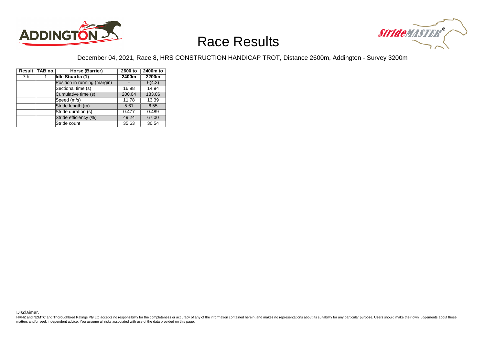



### December 04, 2021, Race 8, HRS CONSTRUCTION HANDICAP TROT, Distance 2600m, Addington - Survey 3200m

|     | Result TAB no. | Horse (Barrier)              | 2600 to | 2400m to |
|-----|----------------|------------------------------|---------|----------|
| 7th |                | Idle Stuartia (1)            | 2400m   | 2200m    |
|     |                | Position in running (margin) |         | 6(4.3)   |
|     |                | Sectional time (s)           | 16.98   | 14.94    |
|     |                | Cumulative time (s)          | 200.04  | 183.06   |
|     |                | Speed (m/s)                  | 11.78   | 13.39    |
|     |                | Stride length (m)            | 5.61    | 6.55     |
|     |                | Stride duration (s)          | 0.477   | 0.489    |
|     |                | Stride efficiency (%)        | 49.24   | 67.00    |
|     |                | Stride count                 | 35.63   | 30.54    |

Disclaimer.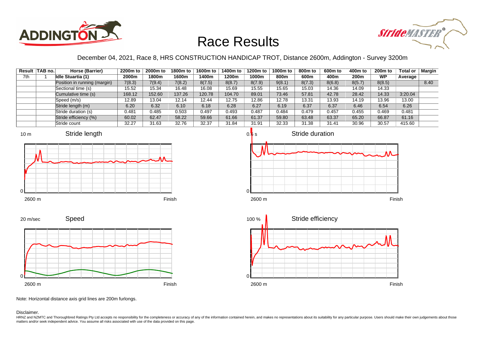



December 04, 2021, Race 8, HRS CONSTRUCTION HANDICAP TROT, Distance 2600m, Addington - Survey 3200m

|     | Result TAB no. | Horse (Barrier)              | 2200m to | 2000m to | 1800m to | 1600m to | 1400m to | 1200m to | 1000m to | 800m to | 600m to | 400m to | <b>200m to</b> | <b>Total or</b> | <b>Margin</b> |
|-----|----------------|------------------------------|----------|----------|----------|----------|----------|----------|----------|---------|---------|---------|----------------|-----------------|---------------|
| 7th |                | <b>Idle Stuartia (1)</b>     | 2000m    | 1800m    | 1600m    | 1400m    | 1200m    | 1000m    | 800m     | 600m    | 400m    | 200m    | <b>WP</b>      | Average         |               |
|     |                | Position in running (margin) | 7(8.3)   | 7(9.4)   | 7(8.2)   | 8(7.5)   | 8(8.7)   | 8(7.9)   | 9(8.1)   | 8(7.3)  | 8(6.8)  | 8(5.7)  | 8(8.5)         |                 | 8.40          |
|     |                | Sectional time (s)           | 15.52    | 15.34    | 16.48    | 16.08    | 15.69    | 15.55    | 15.65    | 15.03   | 14.36   | 14.09   | 14.33          |                 |               |
|     |                | Cumulative time (s)          | 168.12   | 152.60   | 137.26   | 120.78   | 104.70   | 89.01    | 73.46    | 57.81   | 42.78   | 28.42   | 14.33          | 3:20.04         |               |
|     |                | Speed (m/s)                  | 12.89    | 13.04    | 12.14    | 12.44    | 12.75    | 12.86    | 12.78    | 13.31   | 13.93   | 14.19   | 13.96          | 13.00           |               |
|     |                | Stride length (m)            | 6.20     | 6.32     | 6.10     | 6.18     | 6.28     | 6.27     | 6.19     | 6.37    | 6.37    | 6.46    | 6.54           | 6.26            |               |
|     |                | Stride duration (s)          | 0.481    | 0.485    | 0.503    | 0.497    | 0.493    | 0.487    | 0.484    | 0.479   | 0.457   | 0.455   | 0.469          | 0.481           |               |
|     |                | Stride efficiency (%)        | 60.02    | 62.47    | 58.22    | 59.66    | 61.66    | 61.37    | 59.80    | 63.48   | 63.37   | 65.20   | 66.87          | 61.16           |               |
|     |                | Stride count                 | 32.27    | 31.63    | 32.76    | 32.37    | 31.84    | 31.91    | 32.33    | 31.38   | 31.41   | 30.96   | 30.57          | 415.60          |               |







Speed 20 m/sec



Note: Horizontal distance axis grid lines are 200m furlongs.

Disclaimer.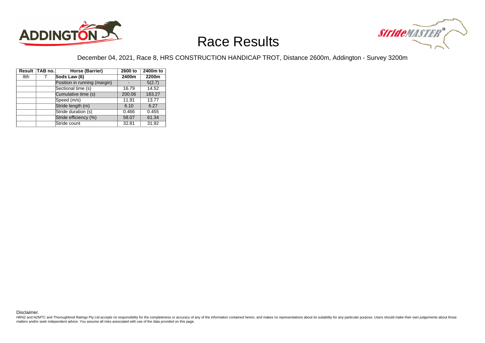



### December 04, 2021, Race 8, HRS CONSTRUCTION HANDICAP TROT, Distance 2600m, Addington - Survey 3200m

|     | Result TAB no. | Horse (Barrier)              | 2600 to | 2400m to |
|-----|----------------|------------------------------|---------|----------|
| 8th |                | Sods Law (6)                 | 2400m   | 2200m    |
|     |                | Position in running (margin) |         | 5(2.7)   |
|     |                | Sectional time (s)           | 16.79   | 14.52    |
|     |                | Cumulative time (s)          | 200.06  | 183.27   |
|     |                | Speed (m/s)                  | 11.91   | 13.77    |
|     |                | Stride length (m)            | 6.10    | 6.27     |
|     |                | Stride duration (s)          | 0.466   | 0.455    |
|     |                | Stride efficiency (%)        | 58.07   | 61.34    |
|     |                | Stride count                 | 32.81   | 31.92    |

Disclaimer.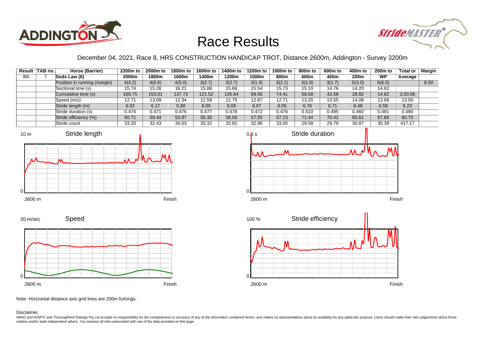



December 04, 2021, Race 8, HRS CONSTRUCTION HANDICAP TROT, Distance 2600m, Addington - Survey 3200m

|     | Result   TAB no. | Horse (Barrier)              | 2200m to | 2000m to | 1800m to | 1600m to | 1400m to | 1200m to | 1000m to | 800m to | 600m to | 400m to | 200 <sub>m</sub> to | <b>Total or</b> | <b>Margin</b> |
|-----|------------------|------------------------------|----------|----------|----------|----------|----------|----------|----------|---------|---------|---------|---------------------|-----------------|---------------|
| 8th |                  | Sods Law (6)                 | 2000m    | 1800m    | 1600m    | l 400m   | 1200m    | 1000m    | 800m     | 600m    | 400m    | 200m    | <b>WP</b>           | Average         |               |
|     |                  | Position in running (margin) | 4(4.2)   | 4(6.6)   | 4(5.0)   | 3(2.7)   | 3(2.7)   | 3(1.9)   | 3(2.1)   | 3(1.8)  | 3(1.7)  | 5(3.0)  | 6(6.5)              |                 | 8.50          |
|     |                  | Sectional time (s)           | 15.74    | 15.28    | 16.21    | 15.88    | 15.69    | 15.54    | 15.73    | 15.10   | 14.76   | 14.20   | 14.62               |                 |               |
|     |                  | Cumulative time (s)          | 168.75   | 153.01   | 137.73   | 121.52   | 105.64   | 89.95    | 74.41    | 58.68   | 43.58   | 28.82   | 14.62               | 3:20.06         |               |
|     |                  | Speed (m/s)                  | 12.71    | 13.09    | 12.34    | 12.59    | 12.75    | 12.87    | 12.71    | 13.25   | 13.55   | 14.08   | 13.68               | 13.00           |               |
|     |                  | Stride length (m)            | 6.02     | 6.17     | 5.88     | 6.00     | 6.09     | 6.07     | 6.05     | 6.76    | 6.71    | 6.48    | 6.58                | 6.23            |               |
|     |                  | Stride duration (s)          | 0.474    | 0.471    | 0.476    | 0.477    | 0.478    | 0.472    | 0.476    | 0.510   | 0.495   | 0.460   | 0.481               | 0.480           |               |
|     |                  | Stride efficiency (%)        | 56.71    | 59.44    | 53.97    | 56.30    | 58.05    | 57.55    | 57.23    | 71.44   | 70.42   | 65.61   | 67.69               | 60.70           |               |
|     |                  | Stride count                 | 33.20    | 32.43    | 34.03    | 33.32    | 32.82    | 32.96    | 33.05    | 29.58   | 29.79   | 30.87   | 30.39               | 417.17          |               |







Speed 20 m/sec



Note: Horizontal distance axis grid lines are 200m furlongs.

Disclaimer.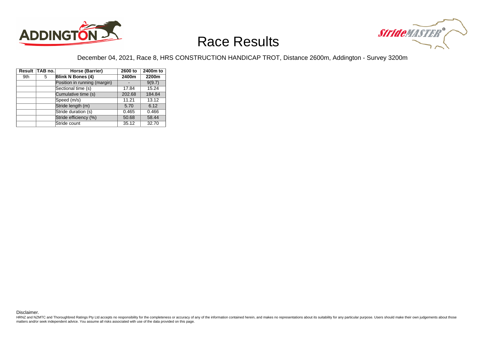



### December 04, 2021, Race 8, HRS CONSTRUCTION HANDICAP TROT, Distance 2600m, Addington - Survey 3200m

|     | Result TAB no. | Horse (Barrier)              | 2600 to | 2400m to |
|-----|----------------|------------------------------|---------|----------|
| 9th | 5              | <b>Blink N Bones (4)</b>     | 2400m   | 2200m    |
|     |                | Position in running (margin) |         | 9(9.7)   |
|     |                | Sectional time (s)           | 17.84   | 15.24    |
|     |                | Cumulative time (s)          | 202.68  | 184.84   |
|     |                | Speed (m/s)                  | 11.21   | 13.12    |
|     |                | Stride length (m)            | 5.70    | 6.12     |
|     |                | Stride duration (s)          | 0.465   | 0.466    |
|     |                | Stride efficiency (%)        | 50.68   | 58.44    |
|     |                | Stride count                 | 35.12   | 32.70    |

Disclaimer.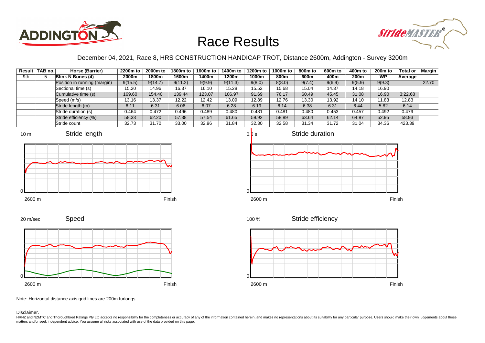



### December 04, 2021, Race 8, HRS CONSTRUCTION HANDICAP TROT, Distance 2600m, Addington - Survey 3200m

|     | Result TAB no. | Horse (Barrier)              | 2200m to | 2000m to | 1800m to | 1600m to | 1400m to | 1200m to | 1000m to | 800m to | 600m to | 400m to | 200 <sub>m</sub> to | Total or | Margin |
|-----|----------------|------------------------------|----------|----------|----------|----------|----------|----------|----------|---------|---------|---------|---------------------|----------|--------|
| 9th |                | <b>Blink N Bones (4)</b>     | 2000m    | 1800m    | 1600m    | 400m     | 1200m    | 1000m    | 800m     | 600m    | 400m    | 200m    | <b>WP</b>           | Average  |        |
|     |                | Position in running (margin) | 9(15.5)  | 9(14.7)  | 9(11.2)  | 9(9.9)   | 9(11.3)  | 9(8.0)   | 8(8.0)   | 9(7.4)  | 9(6.9)  | 9(5.9)  | 9(9.3)              |          | 22.70  |
|     |                | Sectional time (s)           | 15.20    | 14.96    | 16.37    | 16.10    | 15.28    | 15.52    | 15.68    | 15.04   | 14.37   | 14.18   | 16.90               |          |        |
|     |                | Cumulative time (s)          | 169.60   | 154.40   | 139.44   | 123.07   | 106.97   | 91.69    | 76.17    | 60.49   | 45.45   | 31.08   | 16.90               | 3:22.68  |        |
|     |                | Speed (m/s)                  | 13.16    | 13.37    | 12.22    | 12.42    | 13.09    | 12.89    | 12.76    | 13.30   | 13.92   | 14.10   | 11.83               | 12.83    |        |
|     |                | Stride length (m)            | 6.11     | 6.31     | 6.06     | 6.07     | 6.28     | 6.19     | 6.14     | 6.38    | 6.31    | 6.44    | 5.82                | 6.14     |        |
|     |                | Stride duration (s)          | 0.464    | 0.472    | 0.496    | 0.489    | 0.480    | 0.481    | 0.481    | 0.480   | 0.453   | 0.457   | 0.492               | 0.479    |        |
|     |                | Stride efficiency (%)        | 58.33    | 62.20    | 57.38    | 57.54    | 61.65    | 59.92    | 58.89    | 63.64   | 62.14   | 64.87   | 52.95               | 58.93    |        |
|     |                | Stride count                 | 32.73    | 31.70    | 33.00    | 32.96    | 31.84    | 32.30    | 32.58    | 31.34   | 31.72   | 31.04   | 34.36               | 423.39   |        |







Speed 2600 m Finish 20 m/sec 0

Stride efficiency 100 %



Note: Horizontal distance axis grid lines are 200m furlongs.

Disclaimer.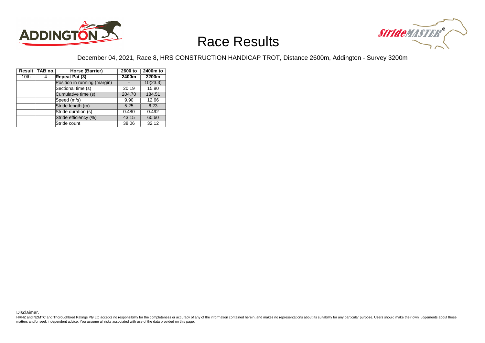



### December 04, 2021, Race 8, HRS CONSTRUCTION HANDICAP TROT, Distance 2600m, Addington - Survey 3200m

|                  | Result TAB no. | Horse (Barrier)              | 2600 to | 2400m to |
|------------------|----------------|------------------------------|---------|----------|
| 10 <sub>th</sub> | 4              | Repeat Pat (3)               | 2400m   | 2200m    |
|                  |                | Position in running (margin) |         | 10(23.3) |
|                  |                | Sectional time (s)           | 20.19   | 15.80    |
|                  |                | Cumulative time (s)          | 204.70  | 184.51   |
|                  |                | Speed (m/s)                  | 9.90    | 12.66    |
|                  |                | Stride length (m)            | 5.25    | 6.23     |
|                  |                | Stride duration (s)          | 0.480   | 0.492    |
|                  |                | Stride efficiency (%)        | 43.15   | 60.60    |
|                  |                | Stride count                 | 38.06   | 32.12    |

Disclaimer.